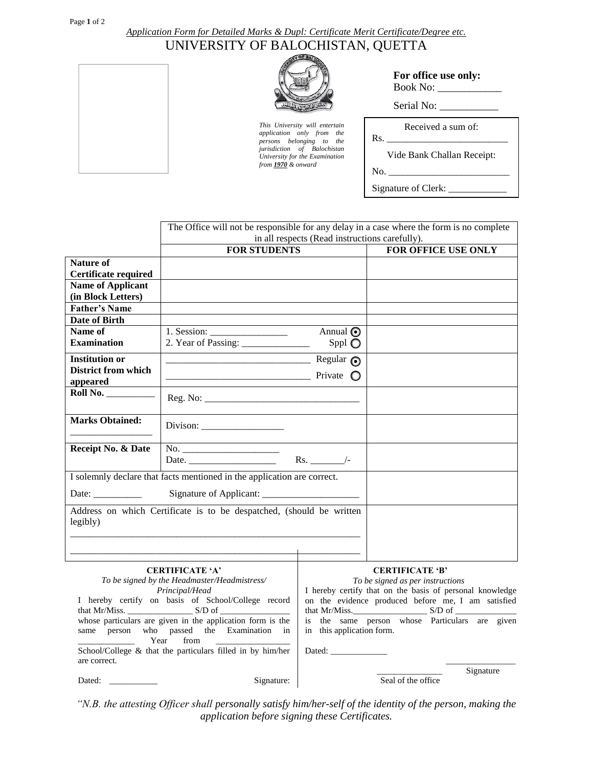## *Application Form for Detailed Marks & Dupl: Certificate Merit Certificate/Degree etc.*  UNIVERSITY OF BALOCHISTAN, QUETTA



*This University will entertain application only from the persons belonging to the jurisdiction of Balochistan University for the Examination from 1970 & onward*

| For office use only: |  |
|----------------------|--|
| Book No:             |  |

Serial No: \_\_\_\_\_\_\_\_\_\_\_

Received a sum of:

Vide Bank Challan Receipt:

 $No.$ 

Rs. \_\_\_\_\_\_\_\_\_\_\_\_\_\_\_\_\_\_\_\_\_\_\_\_\_

Signature of Clerk:

|                                                                                                                                                                                                              | The Office will not be responsible for any delay in a case where the form is no complete                                                                                                                                                                                                                                                                                                                            |                                                                                                                                                                                                                                                                                                           |                                 |  |
|--------------------------------------------------------------------------------------------------------------------------------------------------------------------------------------------------------------|---------------------------------------------------------------------------------------------------------------------------------------------------------------------------------------------------------------------------------------------------------------------------------------------------------------------------------------------------------------------------------------------------------------------|-----------------------------------------------------------------------------------------------------------------------------------------------------------------------------------------------------------------------------------------------------------------------------------------------------------|---------------------------------|--|
|                                                                                                                                                                                                              | in all respects (Read instructions carefully).                                                                                                                                                                                                                                                                                                                                                                      |                                                                                                                                                                                                                                                                                                           |                                 |  |
|                                                                                                                                                                                                              | <b>FOR STUDENTS</b>                                                                                                                                                                                                                                                                                                                                                                                                 |                                                                                                                                                                                                                                                                                                           | FOR OFFICE USE ONLY             |  |
| <b>Nature of</b>                                                                                                                                                                                             |                                                                                                                                                                                                                                                                                                                                                                                                                     |                                                                                                                                                                                                                                                                                                           |                                 |  |
| <b>Certificate required</b>                                                                                                                                                                                  |                                                                                                                                                                                                                                                                                                                                                                                                                     |                                                                                                                                                                                                                                                                                                           |                                 |  |
| <b>Name of Applicant</b>                                                                                                                                                                                     |                                                                                                                                                                                                                                                                                                                                                                                                                     |                                                                                                                                                                                                                                                                                                           |                                 |  |
| (in Block Letters)                                                                                                                                                                                           |                                                                                                                                                                                                                                                                                                                                                                                                                     |                                                                                                                                                                                                                                                                                                           |                                 |  |
| <b>Father's Name</b>                                                                                                                                                                                         |                                                                                                                                                                                                                                                                                                                                                                                                                     |                                                                                                                                                                                                                                                                                                           |                                 |  |
| <b>Date of Birth</b>                                                                                                                                                                                         |                                                                                                                                                                                                                                                                                                                                                                                                                     |                                                                                                                                                                                                                                                                                                           |                                 |  |
| Name of                                                                                                                                                                                                      | 1. Session: $\frac{1}{\sqrt{1-\frac{1}{2}}}\frac{1}{\sqrt{1-\frac{1}{2}}}\frac{1}{\sqrt{1-\frac{1}{2}}}\frac{1}{\sqrt{1-\frac{1}{2}}}\frac{1}{\sqrt{1-\frac{1}{2}}}\frac{1}{\sqrt{1-\frac{1}{2}}}\frac{1}{\sqrt{1-\frac{1}{2}}}\frac{1}{\sqrt{1-\frac{1}{2}}}\frac{1}{\sqrt{1-\frac{1}{2}}}\frac{1}{\sqrt{1-\frac{1}{2}}}\frac{1}{\sqrt{1-\frac{1}{2}}}\frac{1}{\sqrt{1-\frac{1}{2}}}\frac{1}{\sqrt{1-\frac{1}{2}}$ | Annual <sup>O</sup>                                                                                                                                                                                                                                                                                       |                                 |  |
| <b>Examination</b>                                                                                                                                                                                           |                                                                                                                                                                                                                                                                                                                                                                                                                     | Sppl $\bigcirc$                                                                                                                                                                                                                                                                                           |                                 |  |
| <b>Institution or</b>                                                                                                                                                                                        | $Regular$ $\odot$                                                                                                                                                                                                                                                                                                                                                                                                   |                                                                                                                                                                                                                                                                                                           |                                 |  |
| District from which                                                                                                                                                                                          | $\overline{\phantom{a}}$ Private $\overline{\phantom{a}}$                                                                                                                                                                                                                                                                                                                                                           |                                                                                                                                                                                                                                                                                                           |                                 |  |
| appeared                                                                                                                                                                                                     |                                                                                                                                                                                                                                                                                                                                                                                                                     |                                                                                                                                                                                                                                                                                                           |                                 |  |
| <b>Roll No.</b> _________                                                                                                                                                                                    |                                                                                                                                                                                                                                                                                                                                                                                                                     |                                                                                                                                                                                                                                                                                                           |                                 |  |
| <b>Marks Obtained:</b>                                                                                                                                                                                       |                                                                                                                                                                                                                                                                                                                                                                                                                     |                                                                                                                                                                                                                                                                                                           |                                 |  |
| Receipt No. & Date                                                                                                                                                                                           |                                                                                                                                                                                                                                                                                                                                                                                                                     |                                                                                                                                                                                                                                                                                                           |                                 |  |
|                                                                                                                                                                                                              |                                                                                                                                                                                                                                                                                                                                                                                                                     |                                                                                                                                                                                                                                                                                                           |                                 |  |
|                                                                                                                                                                                                              | I solemnly declare that facts mentioned in the application are correct.                                                                                                                                                                                                                                                                                                                                             |                                                                                                                                                                                                                                                                                                           |                                 |  |
|                                                                                                                                                                                                              |                                                                                                                                                                                                                                                                                                                                                                                                                     |                                                                                                                                                                                                                                                                                                           |                                 |  |
| Date: $\frac{1}{\sqrt{1-\frac{1}{2}} \cdot \frac{1}{2}}$                                                                                                                                                     |                                                                                                                                                                                                                                                                                                                                                                                                                     |                                                                                                                                                                                                                                                                                                           |                                 |  |
| legibly)                                                                                                                                                                                                     | Address on which Certificate is to be despatched, (should be written                                                                                                                                                                                                                                                                                                                                                |                                                                                                                                                                                                                                                                                                           |                                 |  |
|                                                                                                                                                                                                              |                                                                                                                                                                                                                                                                                                                                                                                                                     |                                                                                                                                                                                                                                                                                                           |                                 |  |
| <b>CERTIFICATE 'A'</b><br>To be signed by the Headmaster/Headmistress/<br>Principal/Head<br>I hereby certify on basis of School/College record<br>whose particulars are given in the application form is the |                                                                                                                                                                                                                                                                                                                                                                                                                     | <b>CERTIFICATE 'B'</b><br>To be signed as per instructions<br>I hereby certify that on the basis of personal knowledge<br>on the evidence produced before me, I am satisfied<br>that Mr/Miss. $\_\_\_\_$ S/D of $\_\_\_\_$<br>is the same person whose Particulars are given<br>in this application form. |                                 |  |
| same person who passed the Examination in<br>Year<br>from<br>School/College & that the particulars filled in by him/her                                                                                      |                                                                                                                                                                                                                                                                                                                                                                                                                     |                                                                                                                                                                                                                                                                                                           |                                 |  |
| are correct.                                                                                                                                                                                                 |                                                                                                                                                                                                                                                                                                                                                                                                                     |                                                                                                                                                                                                                                                                                                           |                                 |  |
| Dated:                                                                                                                                                                                                       | Signature:                                                                                                                                                                                                                                                                                                                                                                                                          |                                                                                                                                                                                                                                                                                                           | Signature<br>Seal of the office |  |

\_\_\_\_\_\_\_\_\_\_\_\_\_\_\_\_\_\_ *"N.B. the attesting Officer shall personally satisfy him/her-self of the identity of the person, making the application before signing these Certificates.*